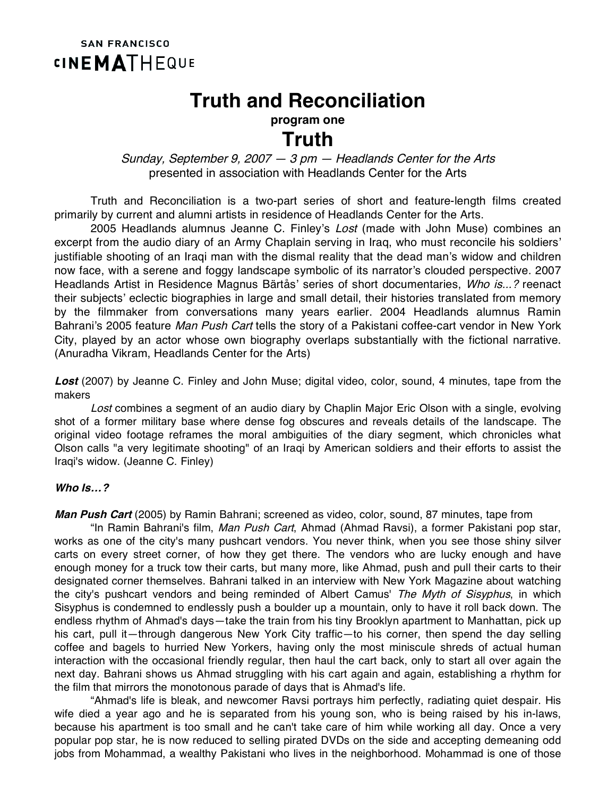## **SAN FRANCISCO CINEMATHEQUE**

## **Truth and Reconciliation**

**program one**

## **Truth**

Sunday, September 9, 2007 — 3 pm — Headlands Center for the Arts presented in association with Headlands Center for the Arts

Truth and Reconciliation is a two-part series of short and feature-length films created primarily by current and alumni artists in residence of Headlands Center for the Arts.

2005 Headlands alumnus Jeanne C. Finley's Lost (made with John Muse) combines an excerpt from the audio diary of an Army Chaplain serving in Iraq, who must reconcile his soldiers' justifiable shooting of an Iraqi man with the dismal reality that the dead man's widow and children now face, with a serene and foggy landscape symbolic of its narrator's clouded perspective. 2007 Headlands Artist in Residence Magnus Bärtås' series of short documentaries, Who is...? reenact their subjects' eclectic biographies in large and small detail, their histories translated from memory by the filmmaker from conversations many years earlier. 2004 Headlands alumnus Ramin Bahrani's 2005 feature Man Push Cart tells the story of a Pakistani coffee-cart vendor in New York City, played by an actor whose own biography overlaps substantially with the fictional narrative. (Anuradha Vikram, Headlands Center for the Arts)

Lost (2007) by Jeanne C. Finley and John Muse; digital video, color, sound, 4 minutes, tape from the makers

Lost combines a segment of an audio diary by Chaplin Major Eric Olson with a single, evolving shot of a former military base where dense fog obscures and reveals details of the landscape. The original video footage reframes the moral ambiguities of the diary segment, which chronicles what Olson calls "a very legitimate shooting" of an Iraqi by American soldiers and their efforts to assist the Iraqi's widow. (Jeanne C. Finley)

## **Who Is…?**

**Man Push Cart** (2005) by Ramin Bahrani; screened as video, color, sound, 87 minutes, tape from

"In Ramin Bahrani's film, Man Push Cart, Ahmad (Ahmad Ravsi), a former Pakistani pop star, works as one of the city's many pushcart vendors. You never think, when you see those shiny silver carts on every street corner, of how they get there. The vendors who are lucky enough and have enough money for a truck tow their carts, but many more, like Ahmad, push and pull their carts to their designated corner themselves. Bahrani talked in an interview with New York Magazine about watching the city's pushcart vendors and being reminded of Albert Camus' The Myth of Sisyphus, in which Sisyphus is condemned to endlessly push a boulder up a mountain, only to have it roll back down. The endless rhythm of Ahmad's days—take the train from his tiny Brooklyn apartment to Manhattan, pick up his cart, pull it—through dangerous New York City traffic—to his corner, then spend the day selling coffee and bagels to hurried New Yorkers, having only the most miniscule shreds of actual human interaction with the occasional friendly regular, then haul the cart back, only to start all over again the next day. Bahrani shows us Ahmad struggling with his cart again and again, establishing a rhythm for the film that mirrors the monotonous parade of days that is Ahmad's life.

"Ahmad's life is bleak, and newcomer Ravsi portrays him perfectly, radiating quiet despair. His wife died a year ago and he is separated from his young son, who is being raised by his in-laws, because his apartment is too small and he can't take care of him while working all day. Once a very popular pop star, he is now reduced to selling pirated DVDs on the side and accepting demeaning odd jobs from Mohammad, a wealthy Pakistani who lives in the neighborhood. Mohammad is one of those